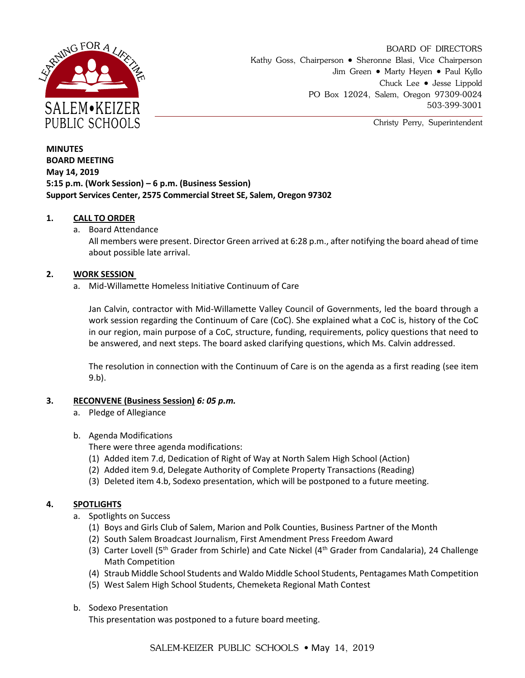

BOARD OF DIRECTORS Kathy Goss, Chairperson • Sheronne Blasi, Vice Chairperson Jim Green • Marty Heyen • Paul Kyllo Chuck Lee • Jesse Lippold PO Box 12024, Salem, Oregon 97309-0024 503-399-3001

Christy Perry, Superintendent

# **MINUTES BOARD MEETING May 14, 2019 5:15 p.m. (Work Session) – 6 p.m. (Business Session) Support Services Center, 2575 Commercial Street SE, Salem, Oregon 97302**

## **1. CALL TO ORDER**

a. Board Attendance

All members were present. Director Green arrived at 6:28 p.m., after notifying the board ahead of time about possible late arrival.

## **2. WORK SESSION**

a. Mid-Willamette Homeless Initiative Continuum of Care

Jan Calvin, contractor with Mid-Willamette Valley Council of Governments, led the board through a work session regarding the Continuum of Care (CoC). She explained what a CoC is, history of the CoC in our region, main purpose of a CoC, structure, funding, requirements, policy questions that need to be answered, and next steps. The board asked clarifying questions, which Ms. Calvin addressed.

The resolution in connection with the Continuum of Care is on the agenda as a first reading (see item 9.b).

## **3. RECONVENE (Business Session)** *6: 05 p.m.*

- a. Pledge of Allegiance
- b. Agenda Modifications

There were three agenda modifications:

- (1) Added item 7.d, Dedication of Right of Way at North Salem High School (Action)
- (2) Added item 9.d, Delegate Authority of Complete Property Transactions (Reading)
- (3) Deleted item 4.b, Sodexo presentation, which will be postponed to a future meeting.

## **4. SPOTLIGHTS**

- a. Spotlights on Success
	- (1) Boys and Girls Club of Salem, Marion and Polk Counties, Business Partner of the Month
	- (2) South Salem Broadcast Journalism, First Amendment Press Freedom Award
	- (3) Carter Lovell (5<sup>th</sup> Grader from Schirle) and Cate Nickel (4<sup>th</sup> Grader from Candalaria), 24 Challenge Math Competition
	- (4) Straub Middle School Students and Waldo Middle School Students, Pentagames Math Competition
	- (5) West Salem High School Students, Chemeketa Regional Math Contest
- b. Sodexo Presentation

This presentation was postponed to a future board meeting.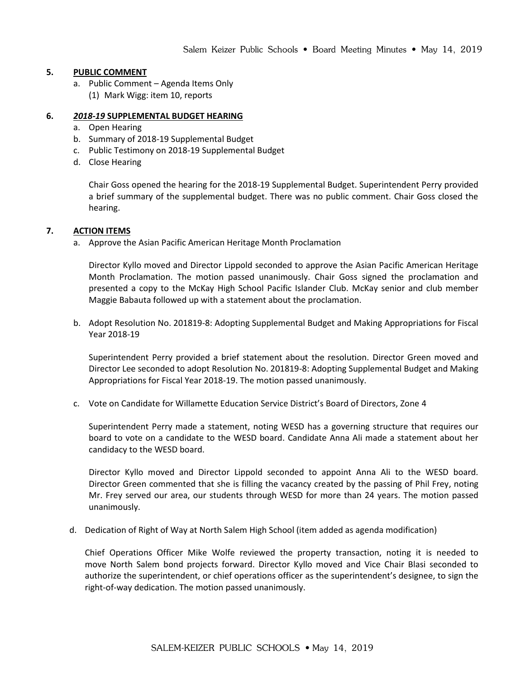### **5. PUBLIC COMMENT**

a. Public Comment – Agenda Items Only (1) Mark Wigg: item 10, reports

### **6.** *2018-19* **SUPPLEMENTAL BUDGET HEARING**

- a. Open Hearing
- b. Summary of 2018-19 Supplemental Budget
- c. Public Testimony on 2018-19 Supplemental Budget
- d. Close Hearing

Chair Goss opened the hearing for the 2018-19 Supplemental Budget. Superintendent Perry provided a brief summary of the supplemental budget. There was no public comment. Chair Goss closed the hearing.

### **7. ACTION ITEMS**

a. Approve the Asian Pacific American Heritage Month Proclamation

Director Kyllo moved and Director Lippold seconded to approve the Asian Pacific American Heritage Month Proclamation. The motion passed unanimously. Chair Goss signed the proclamation and presented a copy to the McKay High School Pacific Islander Club. McKay senior and club member Maggie Babauta followed up with a statement about the proclamation.

b. Adopt Resolution No. 201819-8: Adopting Supplemental Budget and Making Appropriations for Fiscal Year 2018-19

Superintendent Perry provided a brief statement about the resolution. Director Green moved and Director Lee seconded to adopt Resolution No. 201819-8: Adopting Supplemental Budget and Making Appropriations for Fiscal Year 2018-19. The motion passed unanimously.

c. Vote on Candidate for Willamette Education Service District's Board of Directors, Zone 4

Superintendent Perry made a statement, noting WESD has a governing structure that requires our board to vote on a candidate to the WESD board. Candidate Anna Ali made a statement about her candidacy to the WESD board.

Director Kyllo moved and Director Lippold seconded to appoint Anna Ali to the WESD board. Director Green commented that she is filling the vacancy created by the passing of Phil Frey, noting Mr. Frey served our area, our students through WESD for more than 24 years. The motion passed unanimously.

d. Dedication of Right of Way at North Salem High School (item added as agenda modification)

Chief Operations Officer Mike Wolfe reviewed the property transaction, noting it is needed to move North Salem bond projects forward. Director Kyllo moved and Vice Chair Blasi seconded to authorize the superintendent, or chief operations officer as the superintendent's designee, to sign the right-of-way dedication. The motion passed unanimously.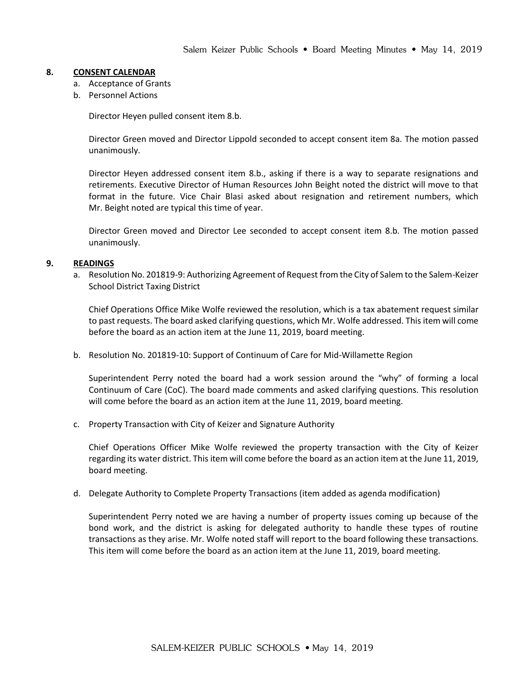#### **8. CONSENT CALENDAR**

- a. Acceptance of Grants
- b. Personnel Actions

Director Heyen pulled consent item 8.b.

Director Green moved and Director Lippold seconded to accept consent item 8a. The motion passed unanimously.

Director Heyen addressed consent item 8.b., asking if there is a way to separate resignations and retirements. Executive Director of Human Resources John Beight noted the district will move to that format in the future. Vice Chair Blasi asked about resignation and retirement numbers, which Mr. Beight noted are typical this time of year.

Director Green moved and Director Lee seconded to accept consent item 8.b. The motion passed unanimously.

#### **9. READINGS**

a. Resolution No. 201819-9: Authorizing Agreement of Request from the City of Salem to the Salem-Keizer School District Taxing District

Chief Operations Office Mike Wolfe reviewed the resolution, which is a tax abatement request similar to past requests. The board asked clarifying questions, which Mr. Wolfe addressed. This item will come before the board as an action item at the June 11, 2019, board meeting.

b. Resolution No. 201819-10: Support of Continuum of Care for Mid-Willamette Region

Superintendent Perry noted the board had a work session around the "why" of forming a local Continuum of Care (CoC). The board made comments and asked clarifying questions. This resolution will come before the board as an action item at the June 11, 2019, board meeting.

c. Property Transaction with City of Keizer and Signature Authority

Chief Operations Officer Mike Wolfe reviewed the property transaction with the City of Keizer regarding its water district. This item will come before the board as an action item at the June 11, 2019, board meeting.

d. Delegate Authority to Complete Property Transactions (item added as agenda modification)

Superintendent Perry noted we are having a number of property issues coming up because of the bond work, and the district is asking for delegated authority to handle these types of routine transactions as they arise. Mr. Wolfe noted staff will report to the board following these transactions. This item will come before the board as an action item at the June 11, 2019, board meeting.